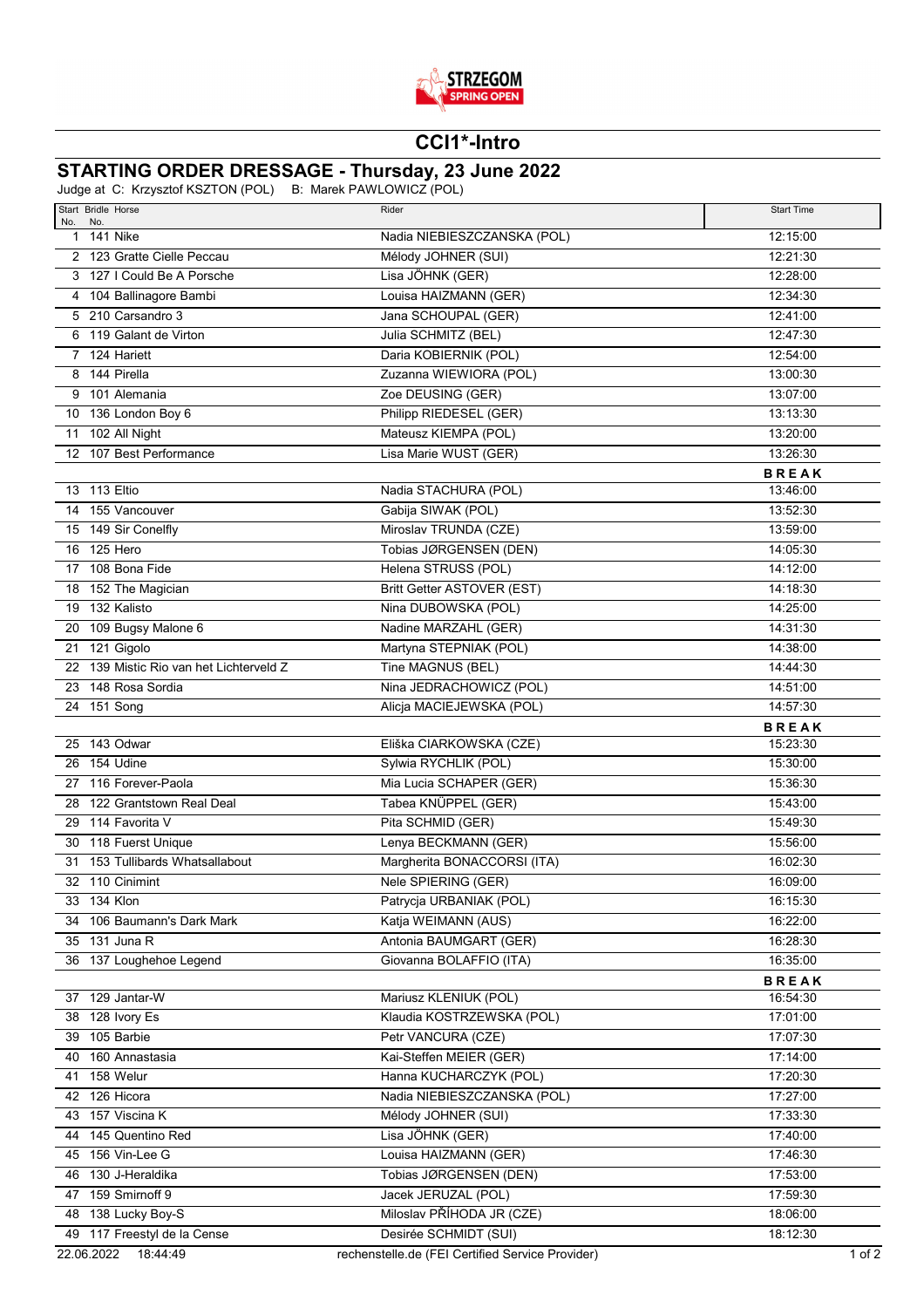

## **CCI1\*-Intro**

## **STARTING ORDER DRESSAGE - Thursday, 23 June 2022**

Judge at C: Krzysztof KSZTON (POL) B: Marek PAWLOWICZ (POL)

| Start Bridle Horse<br>No.<br>No.        | Rider                                            | <b>Start Time</b> |
|-----------------------------------------|--------------------------------------------------|-------------------|
| 1 141 Nike                              | Nadia NIEBIESZCZANSKA (POL)                      | 12:15:00          |
| 2 123 Gratte Cielle Peccau              | Mélody JOHNER (SUI)                              | 12:21:30          |
| 3 127 I Could Be A Porsche              | Lisa JÖHNK (GER)                                 | 12:28:00          |
| 4 104 Ballinagore Bambi                 | Louisa HAIZMANN (GER)                            | 12:34:30          |
| 5 210 Carsandro 3                       | Jana SCHOUPAL (GER)                              | 12:41:00          |
| 6 119 Galant de Virton                  | Julia SCHMITZ (BEL)                              | 12:47:30          |
| 7 124 Hariett                           | Daria KOBIERNIK (POL)                            | 12:54:00          |
| 8 144 Pirella                           | Zuzanna WIEWIORA (POL)                           | 13:00:30          |
| 9 101 Alemania                          | Zoe DEUSING (GER)                                | 13:07:00          |
| 10 136 London Boy 6                     | Philipp RIEDESEL (GER)                           | 13:13:30          |
| 11 102 All Night                        | Mateusz KIEMPA (POL)                             | 13:20:00          |
| 12 107 Best Performance                 | Lisa Marie WUST (GER)                            | 13:26:30          |
|                                         |                                                  | <b>BREAK</b>      |
| 13 113 Eltio                            | Nadia STACHURA (POL)                             | 13:46:00          |
| 14 155 Vancouver                        | Gabija SIWAK (POL)                               | 13:52:30          |
| 15 149 Sir Conelfly                     | Miroslav TRUNDA (CZE)                            | 13:59:00          |
| 16 125 Hero                             | Tobias JØRGENSEN (DEN)                           | 14:05:30          |
| 17 108 Bona Fide                        | Helena STRUSS (POL)                              | 14:12:00          |
| 18 152 The Magician                     | <b>Britt Getter ASTOVER (EST)</b>                | 14:18:30          |
| 19 132 Kalisto                          | Nina DUBOWSKA (POL)                              | 14:25:00          |
| 20 109 Bugsy Malone 6                   | Nadine MARZAHL (GER)                             | 14:31:30          |
| 21 121 Gigolo                           | Martyna STEPNIAK (POL)                           | 14:38:00          |
| 22 139 Mistic Rio van het Lichterveld Z | Tine MAGNUS (BEL)                                | 14:44:30          |
| 23 148 Rosa Sordia                      | Nina JEDRACHOWICZ (POL)                          | 14:51:00          |
| 24 151 Song                             | Alicja MACIEJEWSKA (POL)                         | 14:57:30          |
|                                         |                                                  | <b>BREAK</b>      |
| 25 143 Odwar                            | Eliška CIARKOWSKA (CZE)                          | 15:23:30          |
| 26 154 Udine                            | Sylwia RYCHLIK (POL)                             | 15:30:00          |
| 27 116 Forever-Paola                    | Mia Lucia SCHAPER (GER)                          | 15:36:30          |
| 28 122 Grantstown Real Deal             | Tabea KNÜPPEL (GER)                              | 15:43:00          |
| 29 114 Favorita V                       | Pita SCHMID (GER)                                | 15:49:30          |
| 30 118 Fuerst Unique                    | Lenya BECKMANN (GER)                             | 15:56:00          |
| 31 153 Tullibards Whatsallabout         | Margherita BONACCORSI (ITA)                      | 16:02:30          |
| 32 110 Cinimint                         | Nele SPIERING (GER)                              | 16:09:00          |
| 33 134 Klon                             | Patrycja URBANIAK (POL)                          | 16:15:30          |
| 34 106 Baumann's Dark Mark              | Katja WEIMANN (AUS)                              | 16:22:00          |
| 35 131 Juna R                           | Antonia BAUMGART (GER)                           | 16:28:30          |
| 36 137 Loughehoe Legend                 | Giovanna BOLAFFIO (ITA)                          | 16:35:00          |
|                                         |                                                  | <b>BREAK</b>      |
| 37 129 Jantar-W                         | Mariusz KLENIUK (POL)                            | 16:54:30          |
| 38 128 Ivory Es                         | Klaudia KOSTRZEWSKA (POL)                        | 17:01:00          |
| 39 105 Barbie                           | Petr VANCURA (CZE)                               | 17:07:30          |
| 40 160 Annastasia                       | Kai-Steffen MEIER (GER)                          | 17:14:00          |
| 41 158 Welur                            | Hanna KUCHARCZYK (POL)                           | 17:20:30          |
| 42 126 Hicora                           | Nadia NIEBIESZCZANSKA (POL)                      | 17:27:00          |
| 43 157 Viscina K                        | Mélody JOHNER (SUI)                              | 17:33:30          |
| 44 145 Quentino Red                     | Lisa JÖHNK (GER)                                 | 17:40:00          |
| 45 156 Vin-Lee G                        | Louisa HAIZMANN (GER)                            | 17:46:30          |
| 46 130 J-Heraldika                      | Tobias JØRGENSEN (DEN)                           | 17:53:00          |
| 47 159 Smirnoff 9                       | Jacek JERUZAL (POL)                              | 17:59:30          |
| 48 138 Lucky Boy-S                      | Miloslav PŘÍHODA JR (CZE)                        | 18:06:00          |
| 49 117 Freestyl de la Cense             | Desirée SCHMIDT (SUI)                            | 18:12:30          |
| 22.06.2022 18:44:49                     | rechenstelle.de (FEI Certified Service Provider) | $1$ of $2$        |